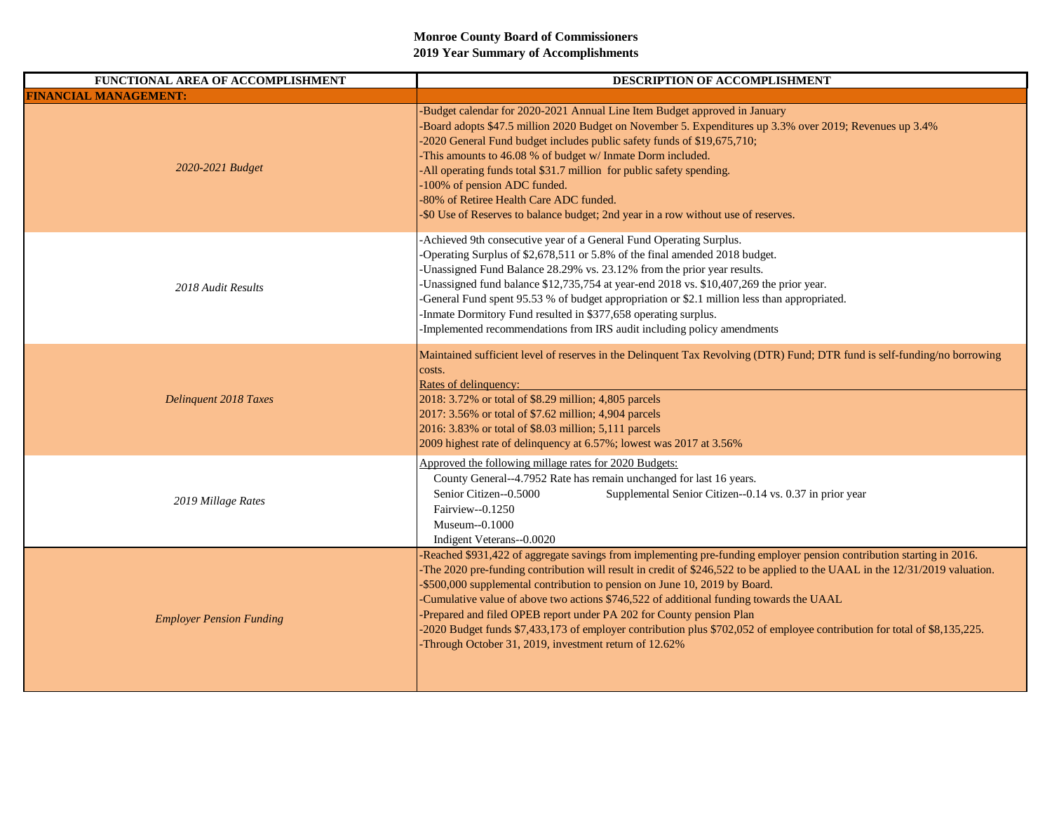| FUNCTIONAL AREA OF ACCOMPLISHMENT | DESCRIPTION OF ACCOMPLISHMENT                                                                                                                                                                                                                                                                                                                                                                                                                                                                                                                                                                                                                                                             |
|-----------------------------------|-------------------------------------------------------------------------------------------------------------------------------------------------------------------------------------------------------------------------------------------------------------------------------------------------------------------------------------------------------------------------------------------------------------------------------------------------------------------------------------------------------------------------------------------------------------------------------------------------------------------------------------------------------------------------------------------|
| <b>FINANCIAL MANAGEMENT:</b>      |                                                                                                                                                                                                                                                                                                                                                                                                                                                                                                                                                                                                                                                                                           |
| 2020-2021 Budget                  | -Budget calendar for 2020-2021 Annual Line Item Budget approved in January<br>Board adopts \$47.5 million 2020 Budget on November 5. Expenditures up 3.3% over 2019; Revenues up 3.4%<br>-2020 General Fund budget includes public safety funds of \$19,675,710;<br>This amounts to 46.08 % of budget w/ Inmate Dorm included.<br>-All operating funds total \$31.7 million for public safety spending.<br>-100% of pension ADC funded.<br>-80% of Retiree Health Care ADC funded.<br>-\$0 Use of Reserves to balance budget; 2nd year in a row without use of reserves.                                                                                                                  |
| 2018 Audit Results                | -Achieved 9th consecutive year of a General Fund Operating Surplus.<br>-Operating Surplus of \$2,678,511 or 5.8% of the final amended 2018 budget.<br>-Unassigned Fund Balance 28.29% vs. 23.12% from the prior year results.<br>-Unassigned fund balance \$12,735,754 at year-end 2018 vs. \$10,407,269 the prior year.<br>-General Fund spent 95.53 % of budget appropriation or \$2.1 million less than appropriated.<br>-Inmate Dormitory Fund resulted in \$377,658 operating surplus.<br>-Implemented recommendations from IRS audit including policy amendments                                                                                                                    |
| Delinquent 2018 Taxes             | Maintained sufficient level of reserves in the Delinquent Tax Revolving (DTR) Fund; DTR fund is self-funding/no borrowing<br>costs.<br>Rates of delinquency:<br>2018: 3.72% or total of \$8.29 million; 4,805 parcels<br>2017: 3.56% or total of \$7.62 million; 4,904 parcels<br>2016: 3.83% or total of \$8.03 million; 5,111 parcels<br>2009 highest rate of delinquency at 6.57%; lowest was 2017 at 3.56%                                                                                                                                                                                                                                                                            |
| 2019 Millage Rates                | Approved the following millage rates for 2020 Budgets:<br>County General--4.7952 Rate has remain unchanged for last 16 years.<br>Senior Citizen--0.5000<br>Supplemental Senior Citizen--0.14 vs. 0.37 in prior year<br>Fairview--0.1250<br>Museum--0.1000<br>Indigent Veterans--0.0020                                                                                                                                                                                                                                                                                                                                                                                                    |
| <b>Employer Pension Funding</b>   | Reached \$931,422 of aggregate savings from implementing pre-funding employer pension contribution starting in 2016.<br>The 2020 pre-funding contribution will result in credit of \$246,522 to be applied to the UAAL in the 12/31/2019 valuation.<br>-\$500,000 supplemental contribution to pension on June 10, 2019 by Board.<br>-Cumulative value of above two actions \$746,522 of additional funding towards the UAAL<br>Prepared and filed OPEB report under PA 202 for County pension Plan<br>-2020 Budget funds \$7,433,173 of employer contribution plus \$702,052 of employee contribution for total of \$8,135,225.<br>Through October 31, 2019, investment return of 12.62% |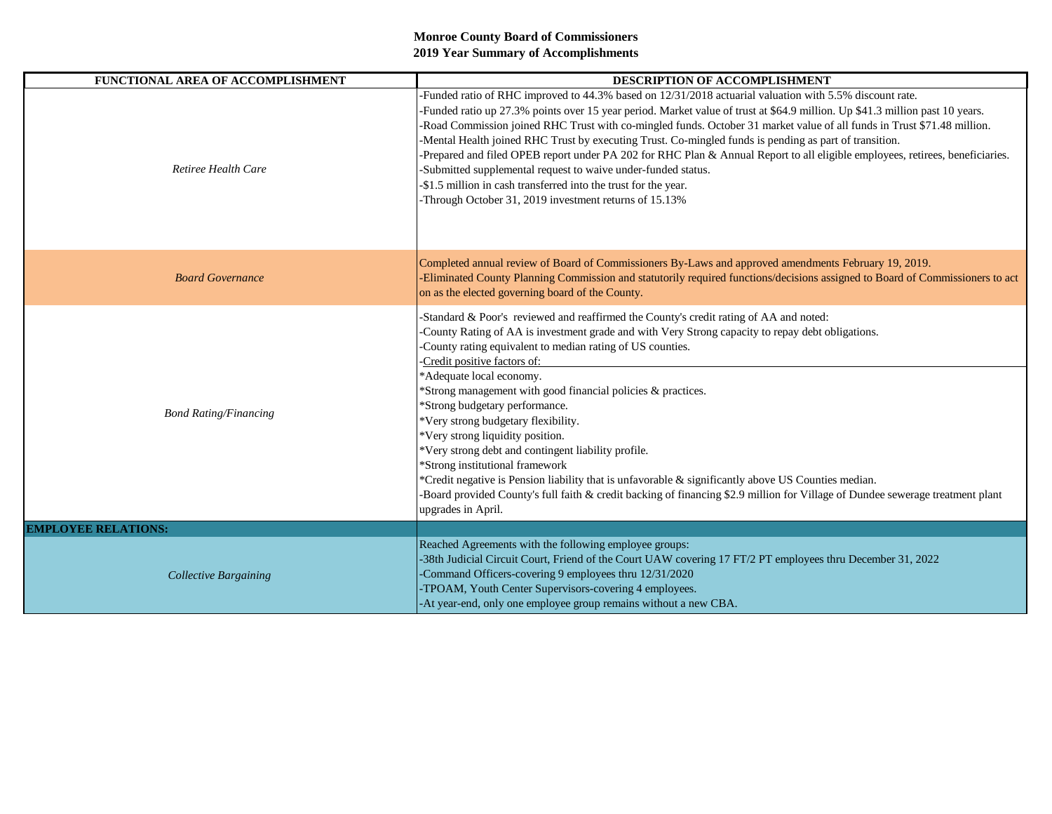| FUNCTIONAL AREA OF ACCOMPLISHMENT | DESCRIPTION OF ACCOMPLISHMENT                                                                                                                                                                                                                                                                                                                                                                                                                                                                                                                                                                                                                                                                                                                                                                                                                               |
|-----------------------------------|-------------------------------------------------------------------------------------------------------------------------------------------------------------------------------------------------------------------------------------------------------------------------------------------------------------------------------------------------------------------------------------------------------------------------------------------------------------------------------------------------------------------------------------------------------------------------------------------------------------------------------------------------------------------------------------------------------------------------------------------------------------------------------------------------------------------------------------------------------------|
| Retiree Health Care               | Funded ratio of RHC improved to 44.3% based on 12/31/2018 actuarial valuation with 5.5% discount rate.<br>-Funded ratio up 27.3% points over 15 year period. Market value of trust at \$64.9 million. Up \$41.3 million past 10 years.<br>-Road Commission joined RHC Trust with co-mingled funds. October 31 market value of all funds in Trust \$71.48 million.<br>-Mental Health joined RHC Trust by executing Trust. Co-mingled funds is pending as part of transition.<br>-Prepared and filed OPEB report under PA 202 for RHC Plan & Annual Report to all eligible employees, retirees, beneficiaries.<br>-Submitted supplemental request to waive under-funded status.<br>-\$1.5 million in cash transferred into the trust for the year.<br>-Through October 31, 2019 investment returns of 15.13%                                                  |
| <b>Board Governance</b>           | Completed annual review of Board of Commissioners By-Laws and approved amendments February 19, 2019.<br>-Eliminated County Planning Commission and statutorily required functions/decisions assigned to Board of Commissioners to act<br>on as the elected governing board of the County.                                                                                                                                                                                                                                                                                                                                                                                                                                                                                                                                                                   |
| <b>Bond Rating/Financing</b>      | Standard & Poor's reviewed and reaffirmed the County's credit rating of AA and noted:<br>County Rating of AA is investment grade and with Very Strong capacity to repay debt obligations.<br>-County rating equivalent to median rating of US counties.<br>-Credit positive factors of:<br>*Adequate local economy.<br>*Strong management with good financial policies & practices.<br>*Strong budgetary performance.<br>*Very strong budgetary flexibility.<br>*Very strong liquidity position.<br>*Very strong debt and contingent liability profile.<br>*Strong institutional framework<br>*Credit negative is Pension liability that is unfavorable $\&$ significantly above US Counties median.<br>Board provided County's full faith & credit backing of financing \$2.9 million for Village of Dundee sewerage treatment plant<br>upgrades in April. |
| <b>EMPLOYEE RELATIONS:</b>        |                                                                                                                                                                                                                                                                                                                                                                                                                                                                                                                                                                                                                                                                                                                                                                                                                                                             |
| <b>Collective Bargaining</b>      | Reached Agreements with the following employee groups:<br>-38th Judicial Circuit Court, Friend of the Court UAW covering 17 FT/2 PT employees thru December 31, 2022<br>-Command Officers-covering 9 employees thru 12/31/2020<br>-TPOAM, Youth Center Supervisors-covering 4 employees.<br>-At year-end, only one employee group remains without a new CBA.                                                                                                                                                                                                                                                                                                                                                                                                                                                                                                |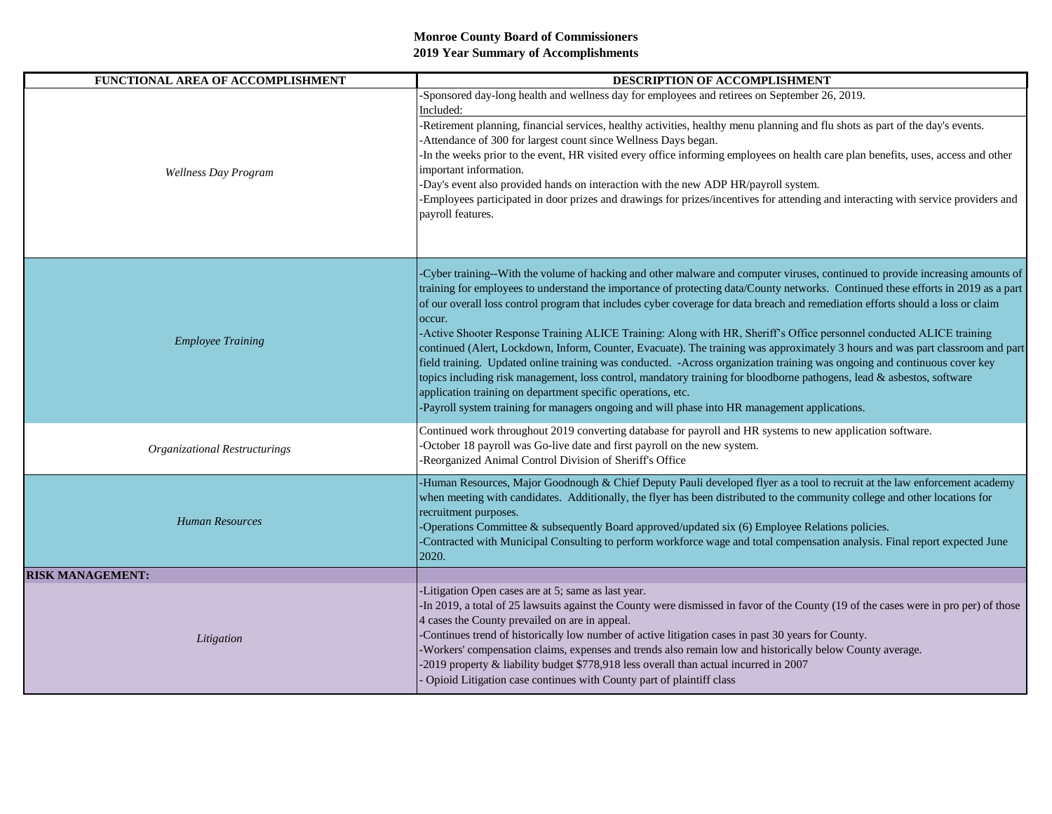| FUNCTIONAL AREA OF ACCOMPLISHMENT | DESCRIPTION OF ACCOMPLISHMENT                                                                                                                                                                                                                                                                                                                                                                                                                                                                                                                                                                                                                                                                                                                                                                                                                                                                                                                                                                                                                                                                     |
|-----------------------------------|---------------------------------------------------------------------------------------------------------------------------------------------------------------------------------------------------------------------------------------------------------------------------------------------------------------------------------------------------------------------------------------------------------------------------------------------------------------------------------------------------------------------------------------------------------------------------------------------------------------------------------------------------------------------------------------------------------------------------------------------------------------------------------------------------------------------------------------------------------------------------------------------------------------------------------------------------------------------------------------------------------------------------------------------------------------------------------------------------|
| Wellness Day Program              | Sponsored day-long health and wellness day for employees and retirees on September 26, 2019.<br>Included:<br>-Retirement planning, financial services, healthy activities, healthy menu planning and flu shots as part of the day's events.<br>-Attendance of 300 for largest count since Wellness Days began.<br>-In the weeks prior to the event, HR visited every office informing employees on health care plan benefits, uses, access and other<br>important information.<br>-Day's event also provided hands on interaction with the new ADP HR/payroll system.<br>Employees participated in door prizes and drawings for prizes/incentives for attending and interacting with service providers and<br>payroll features.                                                                                                                                                                                                                                                                                                                                                                   |
| <b>Employee Training</b>          | Cyber training--With the volume of hacking and other malware and computer viruses, continued to provide increasing amounts of<br>training for employees to understand the importance of protecting data/County networks. Continued these efforts in 2019 as a part<br>of our overall loss control program that includes cyber coverage for data breach and remediation efforts should a loss or claim<br>occur.<br>-Active Shooter Response Training ALICE Training: Along with HR, Sheriff's Office personnel conducted ALICE training<br>continued (Alert, Lockdown, Inform, Counter, Evacuate). The training was approximately 3 hours and was part classroom and part<br>field training. Updated online training was conducted. -Across organization training was ongoing and continuous cover key<br>topics including risk management, loss control, mandatory training for bloodborne pathogens, lead & asbestos, software<br>application training on department specific operations, etc.<br>-Payroll system training for managers ongoing and will phase into HR management applications. |
| Organizational Restructurings     | Continued work throughout 2019 converting database for payroll and HR systems to new application software.<br>-October 18 payroll was Go-live date and first payroll on the new system.<br>-Reorganized Animal Control Division of Sheriff's Office                                                                                                                                                                                                                                                                                                                                                                                                                                                                                                                                                                                                                                                                                                                                                                                                                                               |
| Human Resources                   | Human Resources, Major Goodnough & Chief Deputy Pauli developed flyer as a tool to recruit at the law enforcement academy<br>when meeting with candidates. Additionally, the flyer has been distributed to the community college and other locations for<br>recruitment purposes.<br>-Operations Committee & subsequently Board approved/updated six (6) Employee Relations policies.<br>Contracted with Municipal Consulting to perform workforce wage and total compensation analysis. Final report expected June<br>2020.                                                                                                                                                                                                                                                                                                                                                                                                                                                                                                                                                                      |
| <b>RISK MANAGEMENT:</b>           |                                                                                                                                                                                                                                                                                                                                                                                                                                                                                                                                                                                                                                                                                                                                                                                                                                                                                                                                                                                                                                                                                                   |
| Litigation                        | -Litigation Open cases are at 5; same as last year.<br>In 2019, a total of 25 lawsuits against the County were dismissed in favor of the County (19 of the cases were in pro per) of those<br>4 cases the County prevailed on are in appeal.<br>-Continues trend of historically low number of active litigation cases in past 30 years for County.<br>Workers' compensation claims, expenses and trends also remain low and historically below County average.<br>-2019 property & liability budget \$778,918 less overall than actual incurred in 2007<br>Opioid Litigation case continues with County part of plaintiff class                                                                                                                                                                                                                                                                                                                                                                                                                                                                  |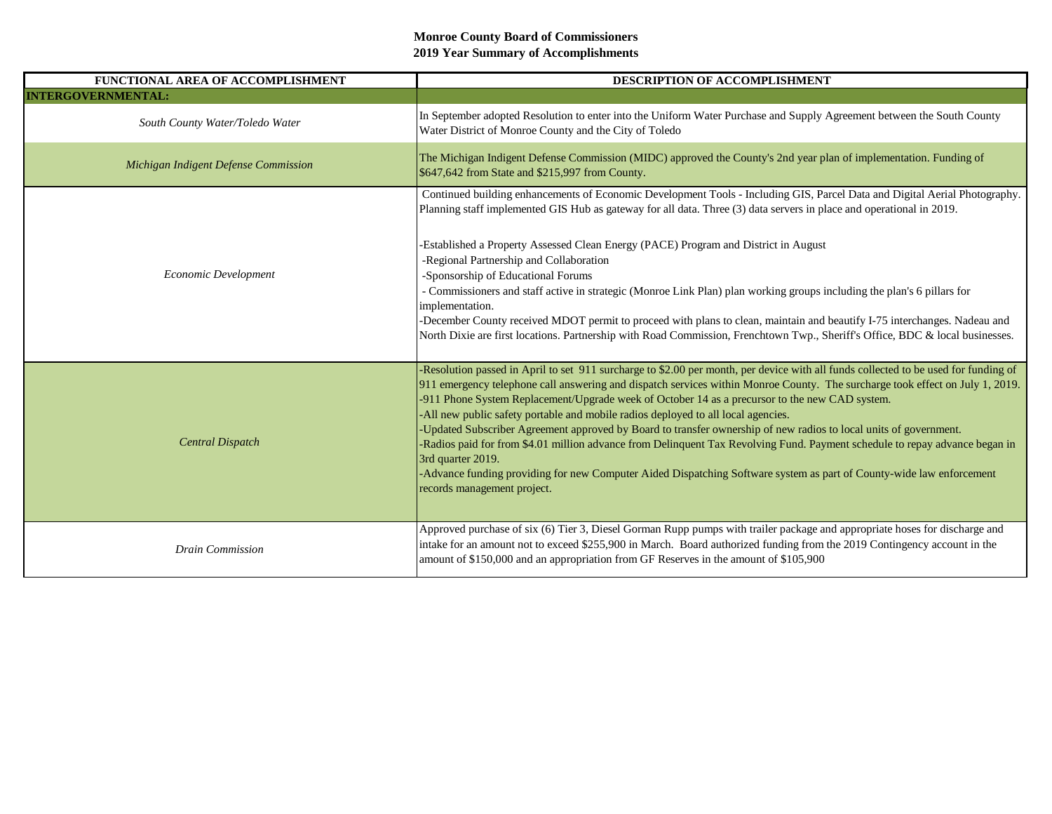| FUNCTIONAL AREA OF ACCOMPLISHMENT    | DESCRIPTION OF ACCOMPLISHMENT                                                                                                                                                                                                                                                                                                                                                                                                                               |
|--------------------------------------|-------------------------------------------------------------------------------------------------------------------------------------------------------------------------------------------------------------------------------------------------------------------------------------------------------------------------------------------------------------------------------------------------------------------------------------------------------------|
| <b>INTERGOVERNMENTAL:</b>            |                                                                                                                                                                                                                                                                                                                                                                                                                                                             |
| South County Water/Toledo Water      | In September adopted Resolution to enter into the Uniform Water Purchase and Supply Agreement between the South County<br>Water District of Monroe County and the City of Toledo                                                                                                                                                                                                                                                                            |
| Michigan Indigent Defense Commission | The Michigan Indigent Defense Commission (MIDC) approved the County's 2nd year plan of implementation. Funding of<br>\$647,642 from State and \$215,997 from County.                                                                                                                                                                                                                                                                                        |
| Economic Development                 | Continued building enhancements of Economic Development Tools - Including GIS, Parcel Data and Digital Aerial Photography.<br>Planning staff implemented GIS Hub as gateway for all data. Three (3) data servers in place and operational in 2019.                                                                                                                                                                                                          |
|                                      | -Established a Property Assessed Clean Energy (PACE) Program and District in August<br>-Regional Partnership and Collaboration<br>-Sponsorship of Educational Forums                                                                                                                                                                                                                                                                                        |
|                                      | - Commissioners and staff active in strategic (Monroe Link Plan) plan working groups including the plan's 6 pillars for<br>implementation.<br>-December County received MDOT permit to proceed with plans to clean, maintain and beautify I-75 interchanges. Nadeau and                                                                                                                                                                                     |
|                                      | North Dixie are first locations. Partnership with Road Commission, Frenchtown Twp., Sheriff's Office, BDC & local businesses.                                                                                                                                                                                                                                                                                                                               |
| <b>Central Dispatch</b>              | -Resolution passed in April to set 911 surcharge to \$2.00 per month, per device with all funds collected to be used for funding of<br>911 emergency telephone call answering and dispatch services within Monroe County. The surcharge took effect on July 1, 2019.<br>-911 Phone System Replacement/Upgrade week of October 14 as a precursor to the new CAD system.<br>-All new public safety portable and mobile radios deployed to all local agencies. |
|                                      | -Updated Subscriber Agreement approved by Board to transfer ownership of new radios to local units of government.<br>-Radios paid for from \$4.01 million advance from Delinquent Tax Revolving Fund. Payment schedule to repay advance began in<br>3rd quarter 2019.                                                                                                                                                                                       |
|                                      | -Advance funding providing for new Computer Aided Dispatching Software system as part of County-wide law enforcement<br>records management project.                                                                                                                                                                                                                                                                                                         |
| <b>Drain Commission</b>              | Approved purchase of six (6) Tier 3, Diesel Gorman Rupp pumps with trailer package and appropriate hoses for discharge and<br>intake for an amount not to exceed \$255,900 in March. Board authorized funding from the 2019 Contingency account in the                                                                                                                                                                                                      |
|                                      | amount of \$150,000 and an appropriation from GF Reserves in the amount of \$105,900                                                                                                                                                                                                                                                                                                                                                                        |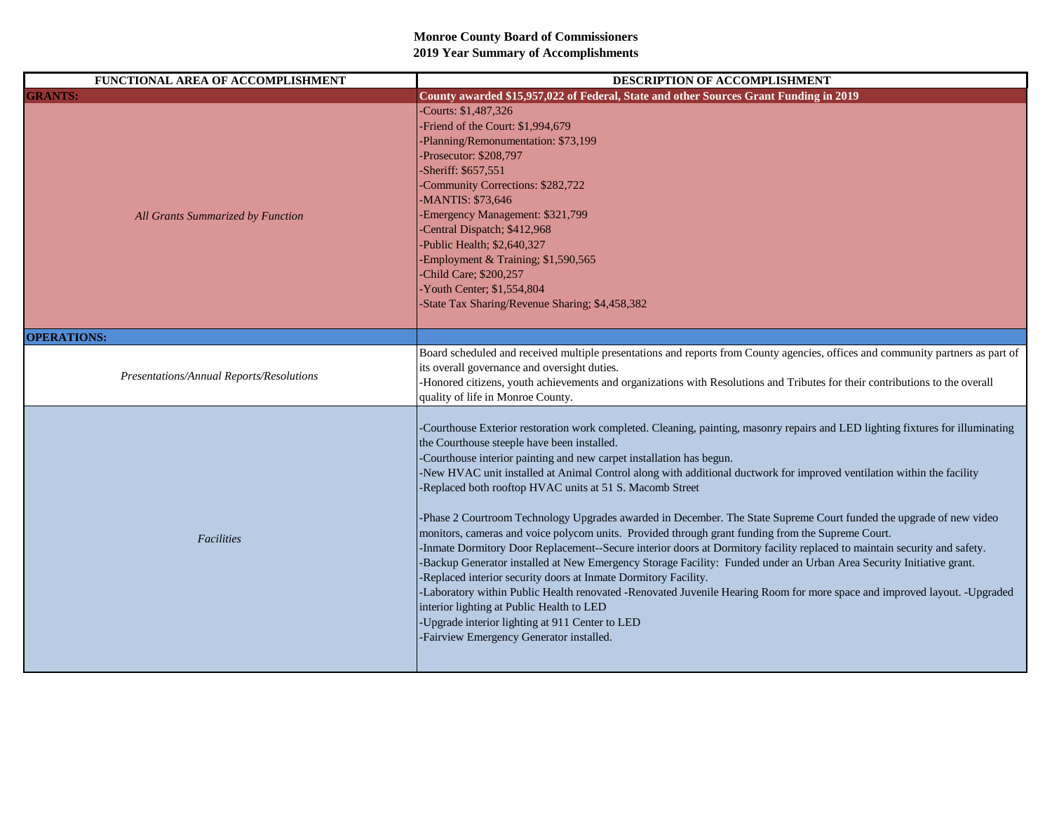| FUNCTIONAL AREA OF ACCOMPLISHMENT        | DESCRIPTION OF ACCOMPLISHMENT                                                                                                                                                                                                                                                                                                                                                                                                                                                                                                                                                                                                                                                                                                                                                                                                                                                                                                                                                                                                                                                                                                                                                                                                                                             |
|------------------------------------------|---------------------------------------------------------------------------------------------------------------------------------------------------------------------------------------------------------------------------------------------------------------------------------------------------------------------------------------------------------------------------------------------------------------------------------------------------------------------------------------------------------------------------------------------------------------------------------------------------------------------------------------------------------------------------------------------------------------------------------------------------------------------------------------------------------------------------------------------------------------------------------------------------------------------------------------------------------------------------------------------------------------------------------------------------------------------------------------------------------------------------------------------------------------------------------------------------------------------------------------------------------------------------|
| <b>GRANTS:</b>                           | County awarded \$15,957,022 of Federal, State and other Sources Grant Funding in 2019                                                                                                                                                                                                                                                                                                                                                                                                                                                                                                                                                                                                                                                                                                                                                                                                                                                                                                                                                                                                                                                                                                                                                                                     |
| All Grants Summarized by Function        | -Courts: \$1,487,326<br>-Friend of the Court: \$1,994,679<br>-Planning/Remonumentation: \$73,199<br>-Prosecutor: \$208,797<br>-Sheriff: \$657,551<br>-Community Corrections: \$282,722<br>-MANTIS: \$73,646<br>Emergency Management: \$321,799<br>-Central Dispatch; \$412,968<br>-Public Health; \$2,640,327<br>-Employment & Training; \$1,590,565<br>Child Care; \$200,257<br>-Youth Center; \$1,554,804<br>-State Tax Sharing/Revenue Sharing; \$4,458,382                                                                                                                                                                                                                                                                                                                                                                                                                                                                                                                                                                                                                                                                                                                                                                                                            |
| <b>OPERATIONS:</b>                       |                                                                                                                                                                                                                                                                                                                                                                                                                                                                                                                                                                                                                                                                                                                                                                                                                                                                                                                                                                                                                                                                                                                                                                                                                                                                           |
| Presentations/Annual Reports/Resolutions | Board scheduled and received multiple presentations and reports from County agencies, offices and community partners as part of<br>its overall governance and oversight duties.<br>-Honored citizens, youth achievements and organizations with Resolutions and Tributes for their contributions to the overall<br>quality of life in Monroe County.                                                                                                                                                                                                                                                                                                                                                                                                                                                                                                                                                                                                                                                                                                                                                                                                                                                                                                                      |
| Facilities                               | -Courthouse Exterior restoration work completed. Cleaning, painting, masonry repairs and LED lighting fixtures for illuminating<br>the Courthouse steeple have been installed.<br>-Courthouse interior painting and new carpet installation has begun.<br>-New HVAC unit installed at Animal Control along with additional ductwork for improved ventilation within the facility<br>-Replaced both rooftop HVAC units at 51 S. Macomb Street<br>-Phase 2 Courtroom Technology Upgrades awarded in December. The State Supreme Court funded the upgrade of new video<br>monitors, cameras and voice polycom units. Provided through grant funding from the Supreme Court.<br>-Inmate Dormitory Door Replacement--Secure interior doors at Dormitory facility replaced to maintain security and safety.<br>-Backup Generator installed at New Emergency Storage Facility: Funded under an Urban Area Security Initiative grant.<br>-Replaced interior security doors at Inmate Dormitory Facility.<br>-Laboratory within Public Health renovated -Renovated Juvenile Hearing Room for more space and improved layout. -Upgraded<br>interior lighting at Public Health to LED<br>-Upgrade interior lighting at 911 Center to LED<br>-Fairview Emergency Generator installed. |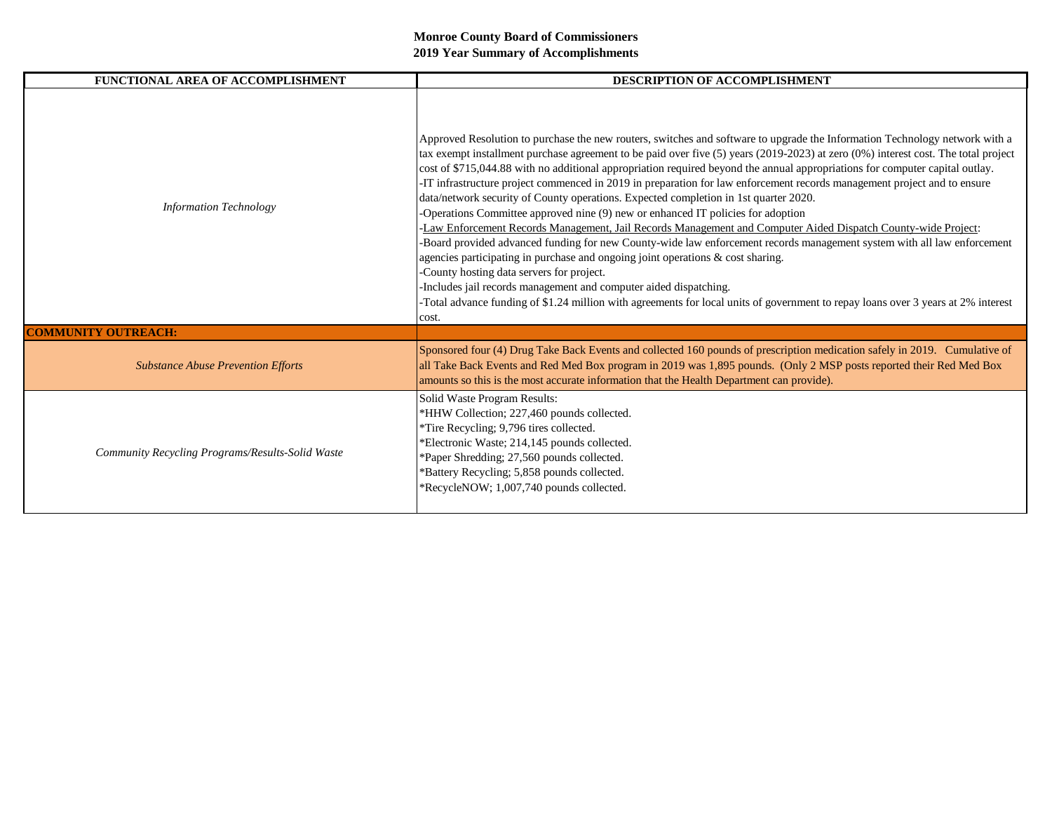| FUNCTIONAL AREA OF ACCOMPLISHMENT                | <b>DESCRIPTION OF ACCOMPLISHMENT</b>                                                                                                                                                                                                                                                                                                                                                                                                                                                                                                                                                                                                                                                                                                                                                                                                                                                                                                                                                                                                                                                                                                                                                                                                                                                                   |
|--------------------------------------------------|--------------------------------------------------------------------------------------------------------------------------------------------------------------------------------------------------------------------------------------------------------------------------------------------------------------------------------------------------------------------------------------------------------------------------------------------------------------------------------------------------------------------------------------------------------------------------------------------------------------------------------------------------------------------------------------------------------------------------------------------------------------------------------------------------------------------------------------------------------------------------------------------------------------------------------------------------------------------------------------------------------------------------------------------------------------------------------------------------------------------------------------------------------------------------------------------------------------------------------------------------------------------------------------------------------|
| <b>Information Technology</b>                    | Approved Resolution to purchase the new routers, switches and software to upgrade the Information Technology network with a<br>tax exempt installment purchase agreement to be paid over five (5) years (2019-2023) at zero (0%) interest cost. The total project<br>cost of \$715,044.88 with no additional appropriation required beyond the annual appropriations for computer capital outlay.<br>-IT infrastructure project commenced in 2019 in preparation for law enforcement records management project and to ensure<br>data/network security of County operations. Expected completion in 1st quarter 2020.<br>-Operations Committee approved nine (9) new or enhanced IT policies for adoption<br>-Law Enforcement Records Management, Jail Records Management and Computer Aided Dispatch County-wide Project:<br>-Board provided advanced funding for new County-wide law enforcement records management system with all law enforcement<br>agencies participating in purchase and ongoing joint operations & cost sharing.<br>-County hosting data servers for project.<br>Includes jail records management and computer aided dispatching.<br>Total advance funding of \$1.24 million with agreements for local units of government to repay loans over 3 years at 2% interest<br>cost. |
| <b>COMMUNITY OUTREACH:</b>                       |                                                                                                                                                                                                                                                                                                                                                                                                                                                                                                                                                                                                                                                                                                                                                                                                                                                                                                                                                                                                                                                                                                                                                                                                                                                                                                        |
| <b>Substance Abuse Prevention Efforts</b>        | Sponsored four (4) Drug Take Back Events and collected 160 pounds of prescription medication safely in 2019. Cumulative of<br>all Take Back Events and Red Med Box program in 2019 was 1,895 pounds. (Only 2 MSP posts reported their Red Med Box<br>amounts so this is the most accurate information that the Health Department can provide).                                                                                                                                                                                                                                                                                                                                                                                                                                                                                                                                                                                                                                                                                                                                                                                                                                                                                                                                                         |
| Community Recycling Programs/Results-Solid Waste | Solid Waste Program Results:<br>*HHW Collection; 227,460 pounds collected.<br>*Tire Recycling; 9,796 tires collected.<br>*Electronic Waste; 214,145 pounds collected.<br>*Paper Shredding; 27,560 pounds collected.<br>*Battery Recycling; 5,858 pounds collected.<br>*RecycleNOW; 1,007,740 pounds collected.                                                                                                                                                                                                                                                                                                                                                                                                                                                                                                                                                                                                                                                                                                                                                                                                                                                                                                                                                                                         |